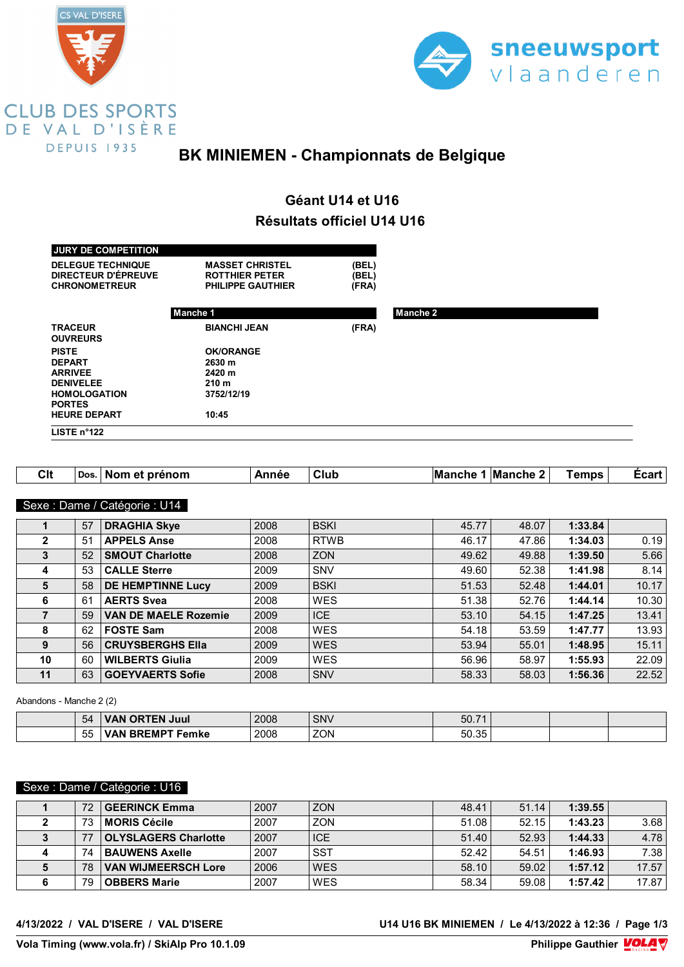



### **BK MINIEMEN - Championnats de Belgique**

## **Géant U14 et U16 Résultats officiel U14 U16**

| <b>JURY DE COMPETITION</b><br><b>DELEGUE TECHNIQUE</b><br>DIRECTEUR D'ÉPREUVE<br><b>CHRONOMETREUR</b> | <b>MASSET CHRISTEL</b><br><b>ROTTHIER PETER</b><br>PHILIPPE GAUTHIER | (BEL)<br>(BEL)<br>(FRA) |                 |  |
|-------------------------------------------------------------------------------------------------------|----------------------------------------------------------------------|-------------------------|-----------------|--|
|                                                                                                       | Manche 1                                                             |                         | <b>Manche 2</b> |  |
| <b>TRACEUR</b><br><b>OUVREURS</b>                                                                     | <b>BIANCHI JEAN</b>                                                  | (FRA)                   |                 |  |
| <b>PISTE</b>                                                                                          | <b>OK/ORANGE</b>                                                     |                         |                 |  |
| <b>DEPART</b>                                                                                         | 2630 m                                                               |                         |                 |  |
| <b>ARRIVEE</b>                                                                                        | 2420 m                                                               |                         |                 |  |
| <b>DENIVELEE</b>                                                                                      | 210 <sub>m</sub>                                                     |                         |                 |  |
| <b>HOMOLOGATION</b>                                                                                   | 3752/12/19                                                           |                         |                 |  |
| <b>PORTES</b>                                                                                         |                                                                      |                         |                 |  |
| <b>HEURE DEPART</b>                                                                                   | 10:45                                                                |                         |                 |  |
| LISTE $n^{\circ}$ 122                                                                                 |                                                                      |                         |                 |  |

| Clt | Dos. | prénom<br>- NON<br>eт | nnac | -<br>Clur | 'M.<br>enr<br>чп | <b>Manche</b> | emps | ∟car' |
|-----|------|-----------------------|------|-----------|------------------|---------------|------|-------|
|-----|------|-----------------------|------|-----------|------------------|---------------|------|-------|

#### Sexe : Dame / Catégorie : U14

|    | 57 | <b>DRAGHIA Skye</b>         | 2008 | <b>BSKI</b> | 45.77 | 48.07 | 1:33.84 |       |
|----|----|-----------------------------|------|-------------|-------|-------|---------|-------|
| 2  | 51 | <b>APPELS Anse</b>          | 2008 | <b>RTWB</b> | 46.17 | 47.86 | 1:34.03 | 0.19  |
| 3  | 52 | <b>SMOUT Charlotte</b>      | 2008 | <b>ZON</b>  | 49.62 | 49.88 | 1:39.50 | 5.66  |
| 4  | 53 | <b>CALLE Sterre</b>         | 2009 | SNV         | 49.60 | 52.38 | 1:41.98 | 8.14  |
| 5  | 58 | <b>DE HEMPTINNE Lucy</b>    | 2009 | <b>BSKI</b> | 51.53 | 52.48 | 1:44.01 | 10.17 |
| 6  | 61 | <b>AERTS Svea</b>           | 2008 | <b>WES</b>  | 51.38 | 52.76 | 1:44.14 | 10.30 |
|    | 59 | <b>VAN DE MAELE Rozemie</b> | 2009 | <b>ICE</b>  | 53.10 | 54.15 | 1:47.25 | 13.41 |
| 8  | 62 | <b>FOSTE Sam</b>            | 2008 | <b>WES</b>  | 54.18 | 53.59 | 1:47.77 | 13.93 |
| 9  | 56 | <b>CRUYSBERGHS Ella</b>     | 2009 | <b>WES</b>  | 53.94 | 55.01 | 1:48.95 | 15.11 |
| 10 | 60 | <b>WILBERTS Giulia</b>      | 2009 | <b>WES</b>  | 56.96 | 58.97 | 1:55.93 | 22.09 |
| 11 | 63 | <b>GOEYVAERTS Sofie</b>     | 2008 | <b>SNV</b>  | 58.33 | 58.03 | 1:56.36 | 22.52 |

Abandons - Manche 2 (2)

| 54                          | <b>ITEN</b><br>OR<br>Juul<br>VAN                                       | 2008 | <b>SNV</b> | 50.7' |  |  |
|-----------------------------|------------------------------------------------------------------------|------|------------|-------|--|--|
| $ -$<br>$\mathbf{h}$<br>ູບບ | $\overline{\mathbf{u}}$ BREMPT $\overline{\mathbf{v}}$<br>Femke<br>vдr | 2008 | <b>ZON</b> | 50.35 |  |  |

#### Sexe : Dame / Catégorie : U16

| 72 | <b>GEERINCK Emma</b>        | 2007 | <b>ZON</b> | 48.41 | 51.14 | 1:39.55 |       |
|----|-----------------------------|------|------------|-------|-------|---------|-------|
| 73 | <b>MORIS Cécile</b>         | 2007 | <b>ZON</b> | 51.08 | 52.15 | 1:43.23 | 3.68  |
|    | <b>OLYSLAGERS Charlotte</b> | 2007 | <b>ICE</b> | 51.40 | 52.93 | 1:44.33 | 4.78  |
| 74 | <b>BAUWENS Axelle</b>       | 2007 | SST        | 52.42 | 54.51 | 1:46.93 | 7.38  |
| 78 | <b>VAN WIJMEERSCH Lore</b>  | 2006 | <b>WES</b> | 58.10 | 59.02 | 1:57.12 | 17.57 |
| 79 | <b>OBBERS Marie</b>         | 2007 | WES        | 58.34 | 59.08 | 1:57.42 | 17.87 |

**4/13/2022 / VAL D'ISERE / VAL D'ISERE U14 U16 BK MINIEMEN / Le 4/13/2022 à 12:36 / Page 1/3**

**Vola Timing (www.vola.fr) / SkiAlp Pro 10.1.09**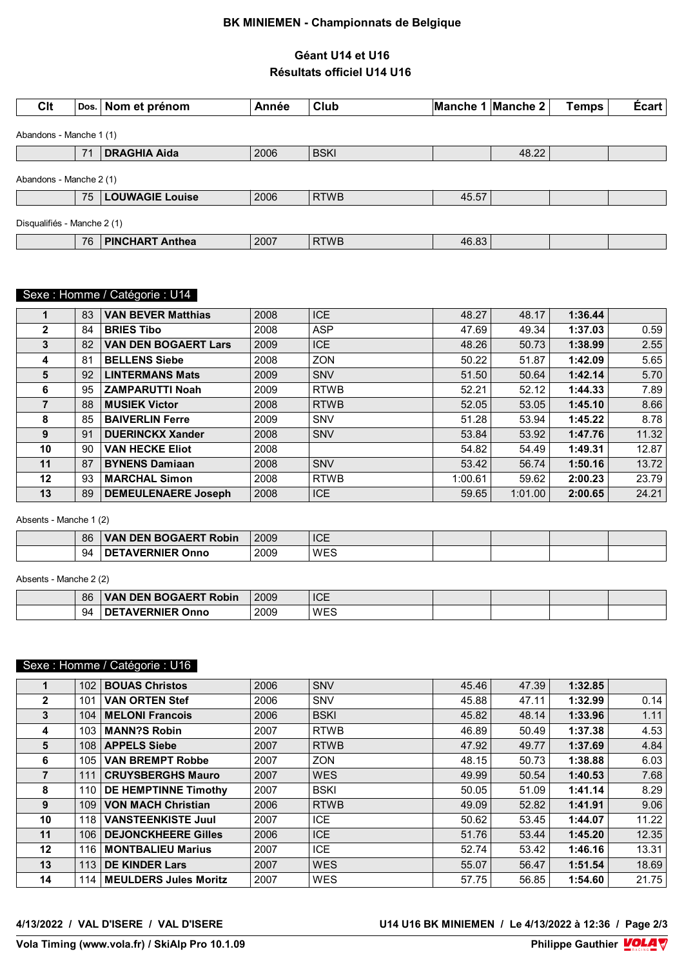#### **BK MINIEMEN - Championnats de Belgique**

#### **Géant U14 et U16 Résultats officiel U14 U16**

| Clt                         |    | Dos. Nom et prénom     | Année | Club        |       | Manche 1 Manche 2 | <b>Temps</b> | Écart |
|-----------------------------|----|------------------------|-------|-------------|-------|-------------------|--------------|-------|
| Abandons - Manche 1 (1)     |    |                        |       |             |       |                   |              |       |
|                             | 71 | <b>DRAGHIA Aida</b>    | 2006  | <b>BSKI</b> |       | 48.22             |              |       |
| Abandons - Manche 2 (1)     |    |                        |       |             |       |                   |              |       |
|                             | 75 | <b>LOUWAGIE Louise</b> | 2006  | <b>RTWB</b> | 45.57 |                   |              |       |
| Disqualifiés - Manche 2 (1) |    |                        |       |             |       |                   |              |       |
|                             | 76 | <b>PINCHART Anthea</b> | 2007  | <b>RTWB</b> | 46.83 |                   |              |       |

# **CHANOWER SEXE : PHILIPPE GAUGHIER PHILIPPE GAUGHIER PHILIPPE GAUGHIER CHANGIER CONDUM**

|              | 83 | <b>VAN BEVER Matthias</b>   | 2008 | <b>ICE</b>  | 48.27   | 48.17   | 1:36.44 |       |
|--------------|----|-----------------------------|------|-------------|---------|---------|---------|-------|
| $\mathbf{2}$ | 84 | <b>BRIES Tibo</b>           | 2008 | <b>ASP</b>  | 47.69   | 49.34   | 1:37.03 | 0.59  |
| 3            | 82 | <b>VAN DEN BOGAERT Lars</b> | 2009 | <b>ICE</b>  | 48.26   | 50.73   | 1:38.99 | 2.55  |
| 4            | 81 | <b>BELLENS Siebe</b>        | 2008 | <b>ZON</b>  | 50.22   | 51.87   | 1:42.09 | 5.65  |
| 5            | 92 | <b>LINTERMANS Mats</b>      | 2009 | <b>SNV</b>  | 51.50   | 50.64   | 1:42.14 | 5.70  |
| 6            | 95 | <b>ZAMPARUTTI Noah</b>      | 2009 | <b>RTWB</b> | 52.21   | 52.12   | 1:44.33 | 7.89  |
|              | 88 | <b>MUSIEK Victor</b>        | 2008 | <b>RTWB</b> | 52.05   | 53.05   | 1:45.10 | 8.66  |
| 8            | 85 | <b>BAIVERLIN Ferre</b>      | 2009 | <b>SNV</b>  | 51.28   | 53.94   | 1:45.22 | 8.78  |
| 9            | 91 | <b>DUERINCKX Xander</b>     | 2008 | <b>SNV</b>  | 53.84   | 53.92   | 1:47.76 | 11.32 |
| 10           | 90 | <b>VAN HECKE Eliot</b>      | 2008 |             | 54.82   | 54.49   | 1:49.31 | 12.87 |
| 11           | 87 | <b>BYNENS Damiaan</b>       | 2008 | <b>SNV</b>  | 53.42   | 56.74   | 1:50.16 | 13.72 |
| 12           | 93 | <b>MARCHAL Simon</b>        | 2008 | <b>RTWB</b> | 1:00.61 | 59.62   | 2:00.23 | 23.79 |
| 13           | 89 | <b>DEMEULENAERE Joseph</b>  | 2008 | <b>ICE</b>  | 59.65   | 1:01.00 | 2:00.65 | 24.21 |

Absents - Manche 1 (2)

| 86 | <b>BOGAERT Robin</b><br>DEN I<br>VAN | 2009 | <b>ICE</b><br>__   |  |  |
|----|--------------------------------------|------|--------------------|--|--|
| 94 | $\sim$ urn.<br>.nF<br>วททด<br>RNIFR  | 2009 | <b>WES</b><br>/ ∟⊂ |  |  |

Absents - Manche 2 (2)

| 86 | <b>AN DEN BOGAERT Robin</b><br><b>VAN</b>                                | 2009 | <b>ICE</b> |  |  |
|----|--------------------------------------------------------------------------|------|------------|--|--|
| 94 | $\mathsf{L}\mathsf{L}$ I AVERNIER $\mathsf{L}\mathsf{L}$<br>- DE<br>Onno | 2009 | WES        |  |  |

### Sexe : Homme / Catégorie : U16

|                | 102 | <b>BOUAS Christos</b>        | 2006 | SNV         | 45.46 | 47.39 | 1:32.85 |       |
|----------------|-----|------------------------------|------|-------------|-------|-------|---------|-------|
| $\mathbf{2}$   | 101 | <b>VAN ORTEN Stef</b>        | 2006 | <b>SNV</b>  | 45.88 | 47.11 | 1:32.99 | 0.14  |
| 3              | 104 | <b>MELONI Francois</b>       | 2006 | <b>BSKI</b> | 45.82 | 48.14 | 1:33.96 | 1.11  |
| 4              | 103 | <b>MANN?S Robin</b>          | 2007 | <b>RTWB</b> | 46.89 | 50.49 | 1:37.38 | 4.53  |
| 5              | 108 | <b>APPELS Siebe</b>          | 2007 | <b>RTWB</b> | 47.92 | 49.77 | 1:37.69 | 4.84  |
| 6              | 105 | <b>VAN BREMPT Robbe</b>      | 2007 | <b>ZON</b>  | 48.15 | 50.73 | 1:38.88 | 6.03  |
| $\overline{7}$ | 111 | <b>CRUYSBERGHS Mauro</b>     | 2007 | <b>WES</b>  | 49.99 | 50.54 | 1:40.53 | 7.68  |
| 8              | 110 | <b>DE HEMPTINNE Timothy</b>  | 2007 | <b>BSKI</b> | 50.05 | 51.09 | 1:41.14 | 8.29  |
| 9              | 109 | <b>VON MACH Christian</b>    | 2006 | <b>RTWB</b> | 49.09 | 52.82 | 1:41.91 | 9.06  |
| 10             | 118 | <b>VANSTEENKISTE Juul</b>    | 2007 | <b>ICE</b>  | 50.62 | 53.45 | 1:44.07 | 11.22 |
| 11             | 106 | <b>DEJONCKHEERE Gilles</b>   | 2006 | <b>ICE</b>  | 51.76 | 53.44 | 1:45.20 | 12.35 |
| $12 \,$        | 116 | <b>MONTBALIEU Marius</b>     | 2007 | <b>ICE</b>  | 52.74 | 53.42 | 1:46.16 | 13.31 |
| 13             | 113 | <b>DE KINDER Lars</b>        | 2007 | <b>WES</b>  | 55.07 | 56.47 | 1:51.54 | 18.69 |
| 14             | 114 | <b>MEULDERS Jules Moritz</b> | 2007 | <b>WES</b>  | 57.75 | 56.85 | 1:54.60 | 21.75 |

**4/13/2022 / VAL D'ISERE / VAL D'ISERE U14 U16 BK MINIEMEN / Le 4/13/2022 à 12:36 / Page 2/3**